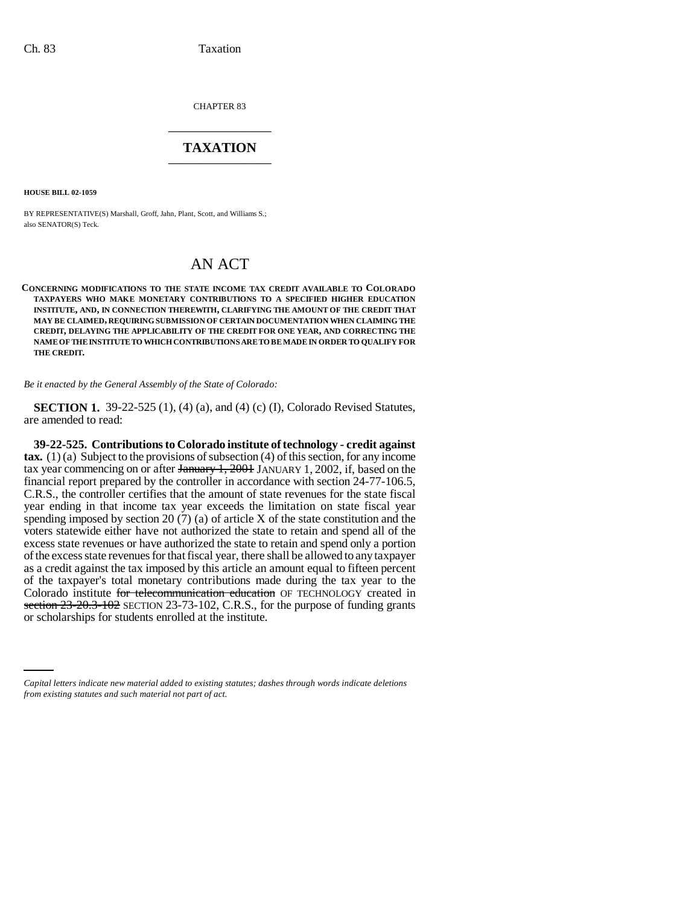CHAPTER 83 \_\_\_\_\_\_\_\_\_\_\_\_\_\_\_

## **TAXATION** \_\_\_\_\_\_\_\_\_\_\_\_\_\_\_

**HOUSE BILL 02-1059**

BY REPRESENTATIVE(S) Marshall, Groff, Jahn, Plant, Scott, and Williams S.; also SENATOR(S) Teck.

## AN ACT

**CONCERNING MODIFICATIONS TO THE STATE INCOME TAX CREDIT AVAILABLE TO COLORADO TAXPAYERS WHO MAKE MONETARY CONTRIBUTIONS TO A SPECIFIED HIGHER EDUCATION INSTITUTE, AND, IN CONNECTION THEREWITH, CLARIFYING THE AMOUNT OF THE CREDIT THAT MAY BE CLAIMED, REQUIRING SUBMISSION OF CERTAIN DOCUMENTATION WHEN CLAIMING THE CREDIT, DELAYING THE APPLICABILITY OF THE CREDIT FOR ONE YEAR, AND CORRECTING THE NAME OF THE INSTITUTE TO WHICH CONTRIBUTIONS ARE TO BE MADE IN ORDER TO QUALIFY FOR THE CREDIT.**

*Be it enacted by the General Assembly of the State of Colorado:*

**SECTION 1.** 39-22-525 (1), (4) (a), and (4) (c) (I), Colorado Revised Statutes, are amended to read:

section  $23-20.3-102$  SECTION  $23-73-102$ , C.R.S., it<br>or scholarships for students enrolled at the institute. **39-22-525. Contributions to Colorado institute of technology - credit against tax.** (1) (a) Subject to the provisions of subsection (4) of this section, for any income tax year commencing on or after January 1, 2001 JANUARY 1, 2002, if, based on the financial report prepared by the controller in accordance with section 24-77-106.5, C.R.S., the controller certifies that the amount of state revenues for the state fiscal year ending in that income tax year exceeds the limitation on state fiscal year spending imposed by section 20 (7) (a) of article X of the state constitution and the voters statewide either have not authorized the state to retain and spend all of the excess state revenues or have authorized the state to retain and spend only a portion of the excess state revenues for that fiscal year, there shall be allowed to any taxpayer as a credit against the tax imposed by this article an amount equal to fifteen percent of the taxpayer's total monetary contributions made during the tax year to the Colorado institute for telecommunication education OF TECHNOLOGY created in section  $23-20.3-102$  SECTION 23-73-102, C.R.S., for the purpose of funding grants

*Capital letters indicate new material added to existing statutes; dashes through words indicate deletions from existing statutes and such material not part of act.*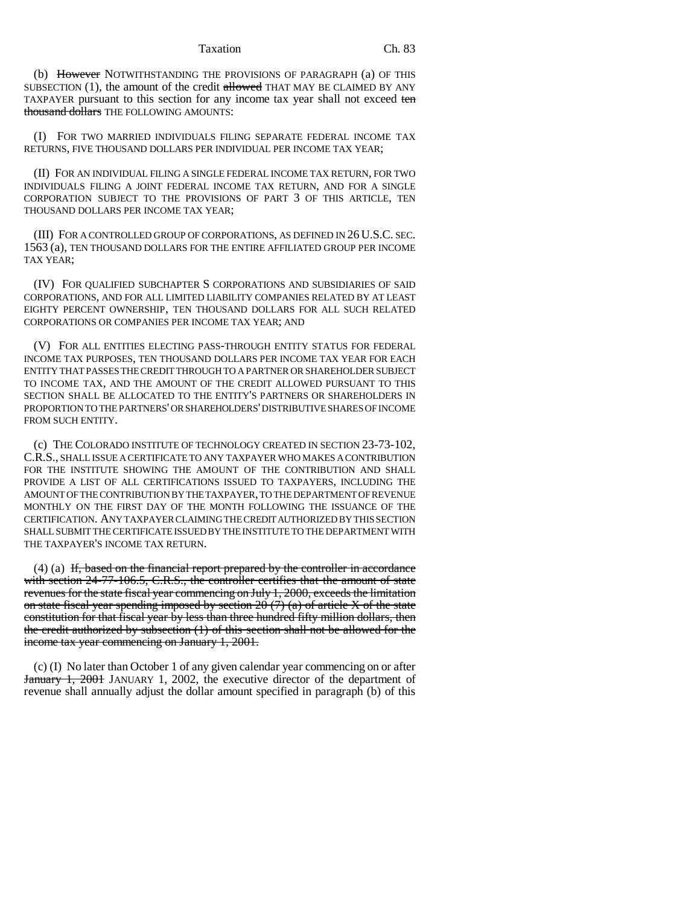Taxation Ch. 83

(b) However NOTWITHSTANDING THE PROVISIONS OF PARAGRAPH (a) OF THIS SUBSECTION  $(1)$ , the amount of the credit allowed THAT MAY BE CLAIMED BY ANY TAXPAYER pursuant to this section for any income tax year shall not exceed ten thousand dollars THE FOLLOWING AMOUNTS:

(I) FOR TWO MARRIED INDIVIDUALS FILING SEPARATE FEDERAL INCOME TAX RETURNS, FIVE THOUSAND DOLLARS PER INDIVIDUAL PER INCOME TAX YEAR;

(II) FOR AN INDIVIDUAL FILING A SINGLE FEDERAL INCOME TAX RETURN, FOR TWO INDIVIDUALS FILING A JOINT FEDERAL INCOME TAX RETURN, AND FOR A SINGLE CORPORATION SUBJECT TO THE PROVISIONS OF PART 3 OF THIS ARTICLE, TEN THOUSAND DOLLARS PER INCOME TAX YEAR;

(III) FOR A CONTROLLED GROUP OF CORPORATIONS, AS DEFINED IN 26 U.S.C. SEC. 1563 (a), TEN THOUSAND DOLLARS FOR THE ENTIRE AFFILIATED GROUP PER INCOME TAX YEAR;

(IV) FOR QUALIFIED SUBCHAPTER S CORPORATIONS AND SUBSIDIARIES OF SAID CORPORATIONS, AND FOR ALL LIMITED LIABILITY COMPANIES RELATED BY AT LEAST EIGHTY PERCENT OWNERSHIP, TEN THOUSAND DOLLARS FOR ALL SUCH RELATED CORPORATIONS OR COMPANIES PER INCOME TAX YEAR; AND

(V) FOR ALL ENTITIES ELECTING PASS-THROUGH ENTITY STATUS FOR FEDERAL INCOME TAX PURPOSES, TEN THOUSAND DOLLARS PER INCOME TAX YEAR FOR EACH ENTITY THAT PASSES THE CREDIT THROUGH TO A PARTNER OR SHAREHOLDER SUBJECT TO INCOME TAX, AND THE AMOUNT OF THE CREDIT ALLOWED PURSUANT TO THIS SECTION SHALL BE ALLOCATED TO THE ENTITY'S PARTNERS OR SHAREHOLDERS IN PROPORTION TO THE PARTNERS' OR SHAREHOLDERS' DISTRIBUTIVE SHARES OF INCOME FROM SUCH ENTITY.

(c) THE COLORADO INSTITUTE OF TECHNOLOGY CREATED IN SECTION 23-73-102, C.R.S., SHALL ISSUE A CERTIFICATE TO ANY TAXPAYER WHO MAKES A CONTRIBUTION FOR THE INSTITUTE SHOWING THE AMOUNT OF THE CONTRIBUTION AND SHALL PROVIDE A LIST OF ALL CERTIFICATIONS ISSUED TO TAXPAYERS, INCLUDING THE AMOUNT OF THE CONTRIBUTION BY THE TAXPAYER, TO THE DEPARTMENT OF REVENUE MONTHLY ON THE FIRST DAY OF THE MONTH FOLLOWING THE ISSUANCE OF THE CERTIFICATION. ANY TAXPAYER CLAIMING THE CREDIT AUTHORIZED BY THIS SECTION SHALL SUBMIT THE CERTIFICATE ISSUED BY THE INSTITUTE TO THE DEPARTMENT WITH THE TAXPAYER'S INCOME TAX RETURN.

 $(4)$  (a) If, based on the financial report prepared by the controller in accordance with section 24-77-106.5, C.R.S., the controller certifies that the amount of state revenues for the state fiscal year commencing on July 1, 2000, exceeds the limitation on state fiscal year spending imposed by section  $20(7)$  (a) of article X of the state constitution for that fiscal year by less than three hundred fifty million dollars, then the credit authorized by subsection (1) of this section shall not be allowed for the income tax year commencing on January 1, 2001.

(c) (I) No later than October 1 of any given calendar year commencing on or after January 1, 2001 JANUARY 1, 2002, the executive director of the department of revenue shall annually adjust the dollar amount specified in paragraph (b) of this